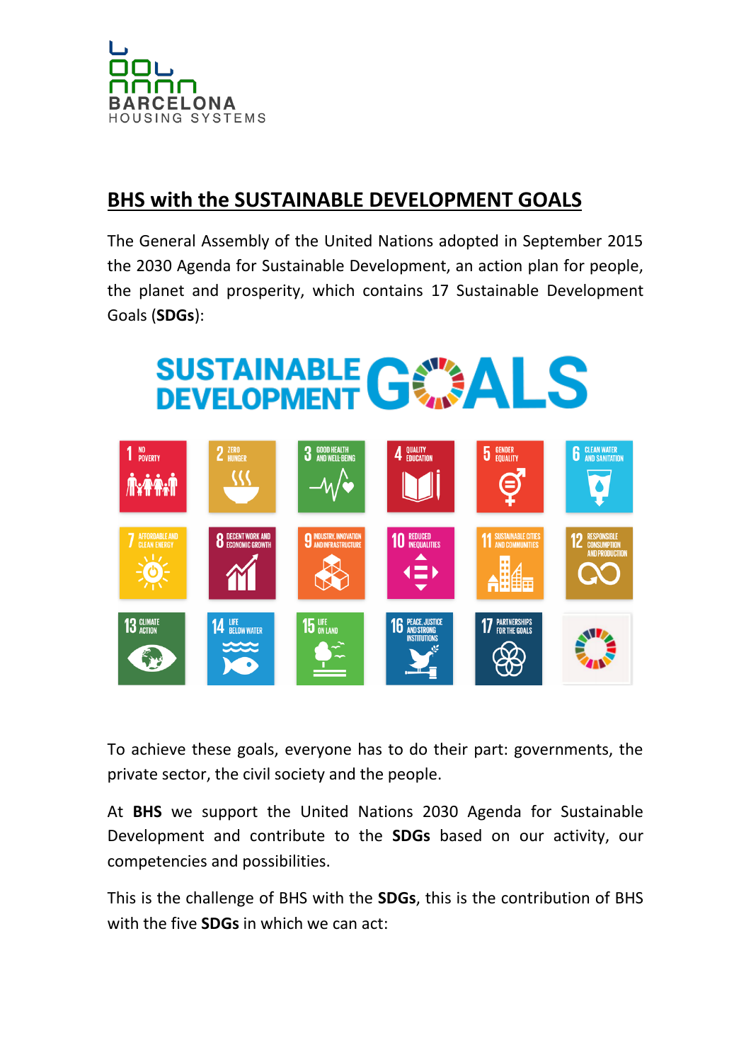

## **BHS with the SUSTAINABLE DEVELOPMENT GOALS**

The General Assembly of the United Nations adopted in September 2015 the 2030 Agenda for Sustainable Development, an action plan for people, the planet and prosperity, which contains 17 Sustainable Development Goals (**SDGs**):



To achieve these goals, everyone has to do their part: governments, the private sector, the civil society and the people.

At **BHS** we support the United Nations 2030 Agenda for Sustainable Development and contribute to the **SDGs** based on our activity, our competencies and possibilities.

This is the challenge of BHS with the **SDGs**, this is the contribution of BHS with the five **SDGs** in which we can act: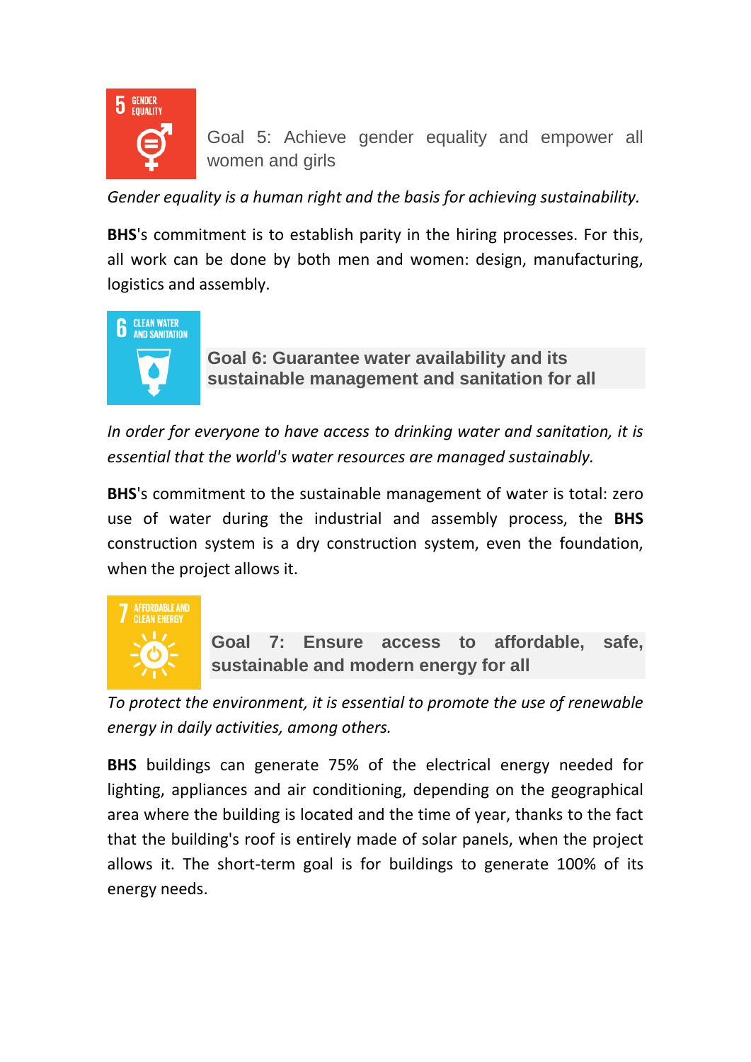

Goal 5: Achieve gender equality and empower all women and girls

*Gender equality is a human right and the basis for achieving sustainability.*

**BHS**'s commitment is to establish parity in the hiring processes. For this, all work can be done by both men and women: design, manufacturing, logistics and assembly.



**Goal 6: Guarantee water availability and its sustainable management and sanitation for all**

In order for everyone to have access to drinking water and sanitation, it is *essential that the world's water resources are managed sustainably.*

**BHS**'s commitment to the sustainable management of water is total: zero use of water during the industrial and assembly process, the **BHS** construction system is a dry construction system, even the foundation, when the project allows it.



**Goal 7: Ensure access to affordable, safe, sustainable and modern energy for all**

*To protect the environment, it is essential to promote the use of renewable energy in daily activities, among others.*

**BHS** buildings can generate 75% of the electrical energy needed for lighting, appliances and air conditioning, depending on the geographical area where the building is located and the time of year, thanks to the fact that the building's roof is entirely made of solar panels, when the project allows it. The short-term goal is for buildings to generate 100% of its energy needs.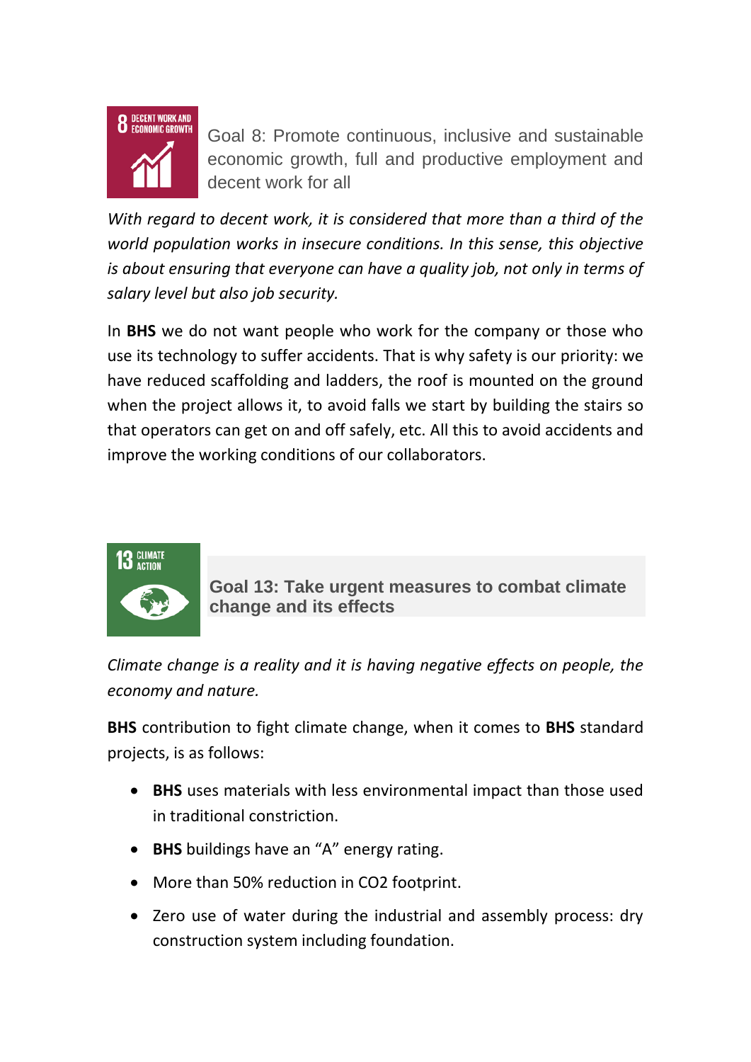

Goal 8: Promote continuous, inclusive and sustainable economic growth, full and productive employment and decent work for all

*With regard to decent work, it is considered that more than a third of the world population works in insecure conditions. In this sense, this objective is about ensuring that everyone can have a quality job, not only in terms of salary level but also job security.*

In **BHS** we do not want people who work for the company or those who use its technology to suffer accidents. That is why safety is our priority: we have reduced scaffolding and ladders, the roof is mounted on the ground when the project allows it, to avoid falls we start by building the stairs so that operators can get on and off safely, etc. All this to avoid accidents and improve the working conditions of our collaborators.



**Goal 13: Take urgent measures to combat climate change and its effects**

*Climate change is a reality and it is having negative effects on people, the economy and nature.*

**BHS** contribution to fight climate change, when it comes to **BHS** standard projects, is as follows:

- **BHS** uses materials with less environmental impact than those used in traditional constriction.
- **BHS** buildings have an "A" energy rating.
- More than 50% reduction in CO2 footprint.
- Zero use of water during the industrial and assembly process: dry construction system including foundation.